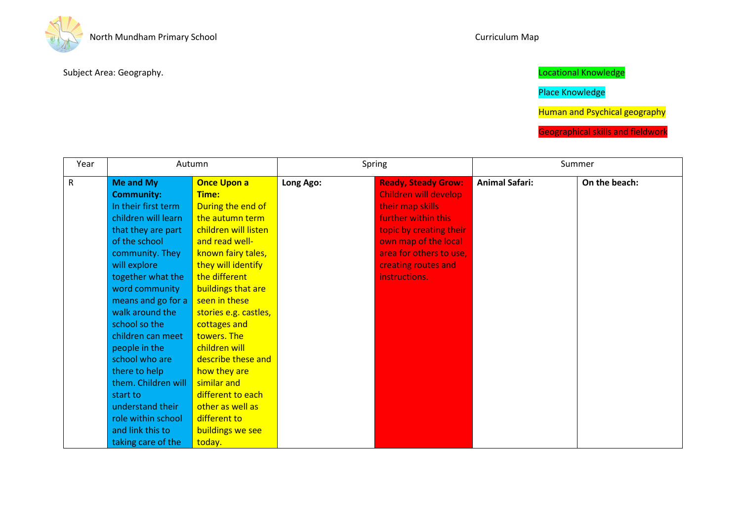

Place Knowledge

Human and Psychical geography

| Year      | Autumn              |                       | Spring    |                            | Summer                |               |
|-----------|---------------------|-----------------------|-----------|----------------------------|-----------------------|---------------|
| ${\sf R}$ | Me and My           | <b>Once Upon a</b>    | Long Ago: | <b>Ready, Steady Grow:</b> | <b>Animal Safari:</b> | On the beach: |
|           | <b>Community:</b>   | Time:                 |           | Children will develop      |                       |               |
|           | In their first term | During the end of     |           | their map skills           |                       |               |
|           | children will learn | the autumn term       |           | further within this        |                       |               |
|           | that they are part  | children will listen  |           | topic by creating their    |                       |               |
|           | of the school       | and read well-        |           | own map of the local       |                       |               |
|           | community. They     | known fairy tales,    |           | area for others to use,    |                       |               |
|           | will explore        | they will identify    |           | creating routes and        |                       |               |
|           | together what the   | the different         |           | instructions.              |                       |               |
|           | word community      | buildings that are    |           |                            |                       |               |
|           | means and go for a  | seen in these         |           |                            |                       |               |
|           | walk around the     | stories e.g. castles, |           |                            |                       |               |
|           | school so the       | cottages and          |           |                            |                       |               |
|           | children can meet   | towers. The           |           |                            |                       |               |
|           | people in the       | children will         |           |                            |                       |               |
|           | school who are      | describe these and    |           |                            |                       |               |
|           | there to help       | how they are          |           |                            |                       |               |
|           | them. Children will | similar and           |           |                            |                       |               |
|           | start to            | different to each     |           |                            |                       |               |
|           | understand their    | other as well as      |           |                            |                       |               |
|           | role within school  | different to          |           |                            |                       |               |
|           | and link this to    | buildings we see      |           |                            |                       |               |
|           | taking care of the  | today.                |           |                            |                       |               |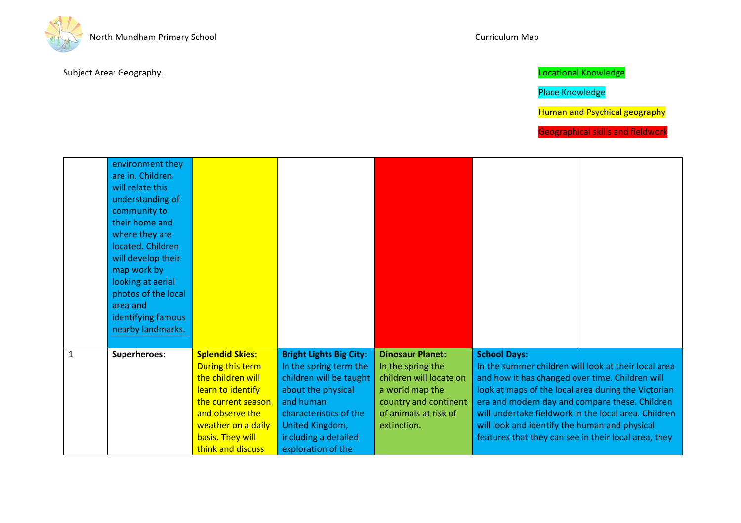

Place Knowledge

Human and Psychical geography

|              | environment they<br>are in. Children<br>will relate this<br>understanding of<br>community to<br>their home and<br>where they are<br>located. Children<br>will develop their<br>map work by<br>looking at aerial<br>photos of the local<br>area and<br>identifying famous<br>nearby landmarks. |                                                                                                                                                                                              |                                                                                                                                                                                                                   |                                                                                                                                                             |                                                                                                                                                                                                                                                                                                                                                                                                          |  |
|--------------|-----------------------------------------------------------------------------------------------------------------------------------------------------------------------------------------------------------------------------------------------------------------------------------------------|----------------------------------------------------------------------------------------------------------------------------------------------------------------------------------------------|-------------------------------------------------------------------------------------------------------------------------------------------------------------------------------------------------------------------|-------------------------------------------------------------------------------------------------------------------------------------------------------------|----------------------------------------------------------------------------------------------------------------------------------------------------------------------------------------------------------------------------------------------------------------------------------------------------------------------------------------------------------------------------------------------------------|--|
| $\mathbf{1}$ | Superheroes:                                                                                                                                                                                                                                                                                  | <b>Splendid Skies:</b><br>During this term<br>the children will<br>learn to identify<br>the current season<br>and observe the<br>weather on a daily<br>basis. They will<br>think and discuss | <b>Bright Lights Big City:</b><br>In the spring term the<br>children will be taught<br>about the physical<br>and human<br>characteristics of the<br>United Kingdom,<br>including a detailed<br>exploration of the | <b>Dinosaur Planet:</b><br>In the spring the<br>children will locate on<br>a world map the<br>country and continent<br>of animals at risk of<br>extinction. | <b>School Days:</b><br>In the summer children will look at their local area<br>and how it has changed over time. Children will<br>look at maps of the local area during the Victorian<br>era and modern day and compare these. Children<br>will undertake fieldwork in the local area. Children<br>will look and identify the human and physical<br>features that they can see in their local area, they |  |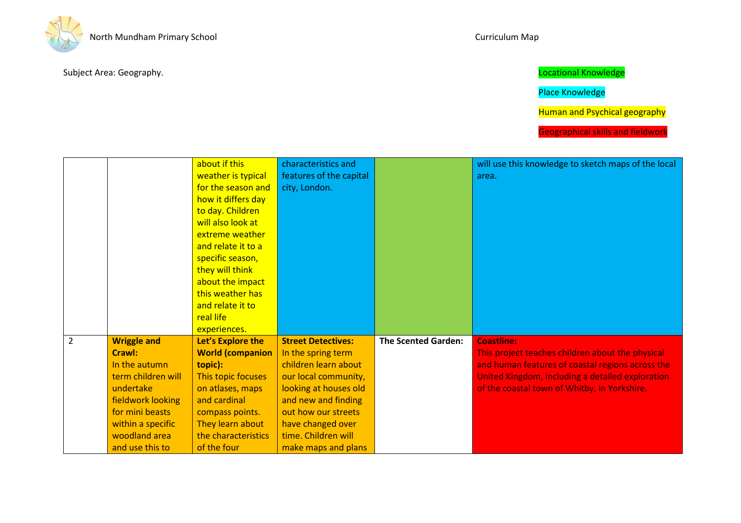

# Place Knowledge

Human and Psychical geography

|                |                    | about if this           | characteristics and       |                            | will use this knowledge to sketch maps of the local |
|----------------|--------------------|-------------------------|---------------------------|----------------------------|-----------------------------------------------------|
|                |                    | weather is typical      | features of the capital   |                            | area.                                               |
|                |                    | for the season and      | city, London.             |                            |                                                     |
|                |                    | how it differs day      |                           |                            |                                                     |
|                |                    | to day. Children        |                           |                            |                                                     |
|                |                    | will also look at       |                           |                            |                                                     |
|                |                    | extreme weather         |                           |                            |                                                     |
|                |                    | and relate it to a      |                           |                            |                                                     |
|                |                    | specific season,        |                           |                            |                                                     |
|                |                    | they will think         |                           |                            |                                                     |
|                |                    | about the impact        |                           |                            |                                                     |
|                |                    | this weather has        |                           |                            |                                                     |
|                |                    | and relate it to        |                           |                            |                                                     |
|                |                    | real life               |                           |                            |                                                     |
|                |                    | experiences.            |                           |                            |                                                     |
| $\overline{2}$ | <b>Wriggle and</b> | Let's Explore the       | <b>Street Detectives:</b> | <b>The Scented Garden:</b> | <b>Coastline:</b>                                   |
|                | Crawl:             | <b>World (companion</b> | In the spring term        |                            | This project teaches children about the physical    |
|                | In the autumn      | topic):                 | children learn about      |                            | and human features of coastal regions across the    |
|                | term children will | This topic focuses      | our local community,      |                            | United Kingdom, including a detailed exploration    |
|                | undertake          | on atlases, maps        | looking at houses old     |                            | of the coastal town of Whitby, in Yorkshire.        |
|                | fieldwork looking  | and cardinal            | and new and finding       |                            |                                                     |
|                | for mini beasts    | compass points.         | out how our streets       |                            |                                                     |
|                | within a specific  | They learn about        | have changed over         |                            |                                                     |
|                | woodland area      | the characteristics     | time. Children will       |                            |                                                     |
|                | and use this to    | of the four             | make maps and plans       |                            |                                                     |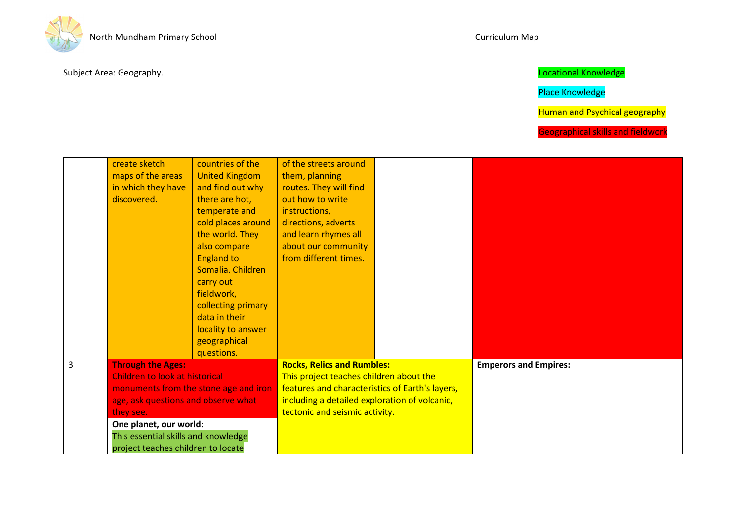

Place Knowledge

Human and Psychical geography

|                | create sketch                         | countries of the      | of the streets around                           |                              |
|----------------|---------------------------------------|-----------------------|-------------------------------------------------|------------------------------|
|                | maps of the areas                     | <b>United Kingdom</b> | them, planning                                  |                              |
|                | in which they have                    | and find out why      | routes. They will find                          |                              |
|                | discovered.                           | there are hot,        | out how to write                                |                              |
|                |                                       | temperate and         | instructions,                                   |                              |
|                |                                       | cold places around    | directions, adverts                             |                              |
|                |                                       | the world. They       | and learn rhymes all                            |                              |
|                |                                       | also compare          | about our community                             |                              |
|                |                                       | <b>England to</b>     | from different times.                           |                              |
|                |                                       | Somalia. Children     |                                                 |                              |
|                |                                       | carry out             |                                                 |                              |
|                |                                       | fieldwork,            |                                                 |                              |
|                |                                       | collecting primary    |                                                 |                              |
|                |                                       | data in their         |                                                 |                              |
|                |                                       | locality to answer    |                                                 |                              |
|                |                                       | geographical          |                                                 |                              |
|                |                                       | questions.            |                                                 |                              |
| $\overline{3}$ | <b>Through the Ages:</b>              |                       | <b>Rocks, Relics and Rumbles:</b>               | <b>Emperors and Empires:</b> |
|                | Children to look at historical        |                       | This project teaches children about the         |                              |
|                | monuments from the stone age and iron |                       | features and characteristics of Earth's layers, |                              |
|                | age, ask questions and observe what   |                       | including a detailed exploration of volcanic,   |                              |
|                | they see.                             |                       | tectonic and seismic activity.                  |                              |
|                | One planet, our world:                |                       |                                                 |                              |
|                | This essential skills and knowledge   |                       |                                                 |                              |
|                | project teaches children to locate    |                       |                                                 |                              |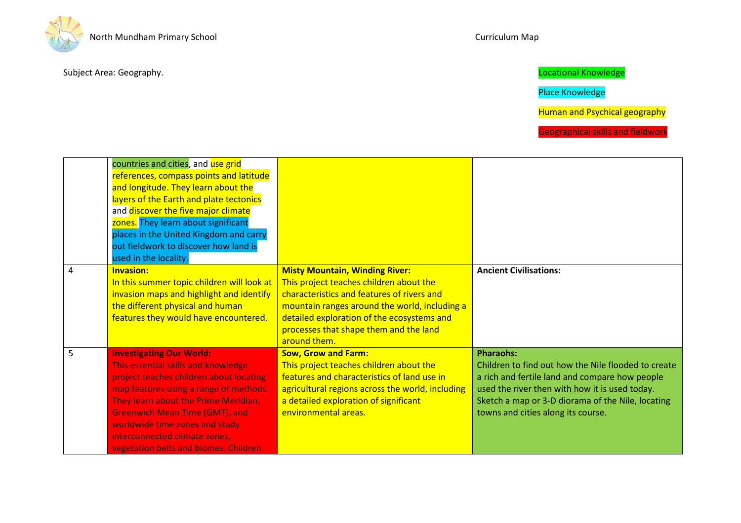

Place Knowledge

Human and Psychical geography

|                | countries and cities, and use grid<br>references, compass points and latitude<br>and longitude. They learn about the<br>layers of the Earth and plate tectonics<br>and discover the five major climate<br>zones. They learn about significant<br>places in the United Kingdom and carry<br>out fieldwork to discover how land is<br>used in the locality. |                                                                                                                                                                                                                                                                                         |                                                                                                                                                                                                                                                                        |
|----------------|-----------------------------------------------------------------------------------------------------------------------------------------------------------------------------------------------------------------------------------------------------------------------------------------------------------------------------------------------------------|-----------------------------------------------------------------------------------------------------------------------------------------------------------------------------------------------------------------------------------------------------------------------------------------|------------------------------------------------------------------------------------------------------------------------------------------------------------------------------------------------------------------------------------------------------------------------|
| $\overline{4}$ | <b>Invasion:</b><br>In this summer topic children will look at<br>invasion maps and highlight and identify<br>the different physical and human<br>features they would have encountered.                                                                                                                                                                   | <b>Misty Mountain, Winding River:</b><br>This project teaches children about the<br>characteristics and features of rivers and<br>mountain ranges around the world, including a<br>detailed exploration of the ecosystems and<br>processes that shape them and the land<br>around them. | <b>Ancient Civilisations:</b>                                                                                                                                                                                                                                          |
| 5              | <b>Investigating Our World:</b><br>This essential skills and knowledge<br>project teaches children about locating<br>map features using a range of methods.<br>They learn about the Prime Meridian,<br><b>Greenwich Mean Time (GMT), and</b><br>worldwide time zones and study<br>interconnected climate zones,<br>vegetation belts and biomes. Children  | <b>Sow, Grow and Farm:</b><br>This project teaches children about the<br>features and characteristics of land use in<br>agricultural regions across the world, including<br>a detailed exploration of significant<br>environmental areas.                                               | <b>Pharaohs:</b><br>Children to find out how the Nile flooded to create<br>a rich and fertile land and compare how people<br>used the river then with how it is used today.<br>Sketch a map or 3-D diorama of the Nile, locating<br>towns and cities along its course. |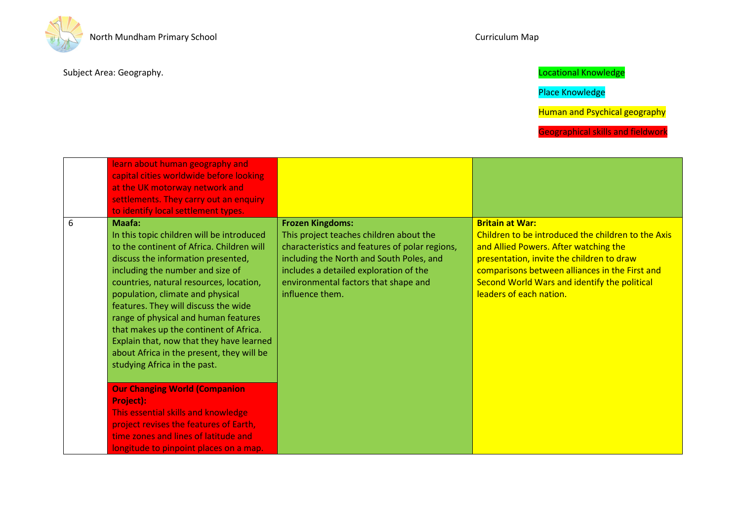

# Place Knowledge

Human and Psychical geography

|   | learn about human geography and<br>capital cities worldwide before looking<br>at the UK motorway network and<br>settlements. They carry out an enquiry<br>to identify local settlement types.                                                                                                                                                                                                                                                                                                                                                                                                                                                             |                                                                                                                                                                                                                                                                       |                                                                                                                                                                                                                                                                                                 |
|---|-----------------------------------------------------------------------------------------------------------------------------------------------------------------------------------------------------------------------------------------------------------------------------------------------------------------------------------------------------------------------------------------------------------------------------------------------------------------------------------------------------------------------------------------------------------------------------------------------------------------------------------------------------------|-----------------------------------------------------------------------------------------------------------------------------------------------------------------------------------------------------------------------------------------------------------------------|-------------------------------------------------------------------------------------------------------------------------------------------------------------------------------------------------------------------------------------------------------------------------------------------------|
| 6 | Maafa:<br>In this topic children will be introduced<br>to the continent of Africa. Children will<br>discuss the information presented,<br>including the number and size of<br>countries, natural resources, location,<br>population, climate and physical<br>features. They will discuss the wide<br>range of physical and human features<br>that makes up the continent of Africa.<br>Explain that, now that they have learned<br>about Africa in the present, they will be<br>studying Africa in the past.<br><b>Our Changing World (Companion</b><br><b>Project):</b><br>This essential skills and knowledge<br>project revises the features of Earth, | <b>Frozen Kingdoms:</b><br>This project teaches children about the<br>characteristics and features of polar regions,<br>including the North and South Poles, and<br>includes a detailed exploration of the<br>environmental factors that shape and<br>influence them. | <b>Britain at War:</b><br>Children to be introduced the children to the Axis<br>and Allied Powers. After watching the<br>presentation, invite the children to draw<br>comparisons between alliances in the First and<br>Second World Wars and identify the political<br>leaders of each nation. |
|   | time zones and lines of latitude and<br>longitude to pinpoint places on a map.                                                                                                                                                                                                                                                                                                                                                                                                                                                                                                                                                                            |                                                                                                                                                                                                                                                                       |                                                                                                                                                                                                                                                                                                 |